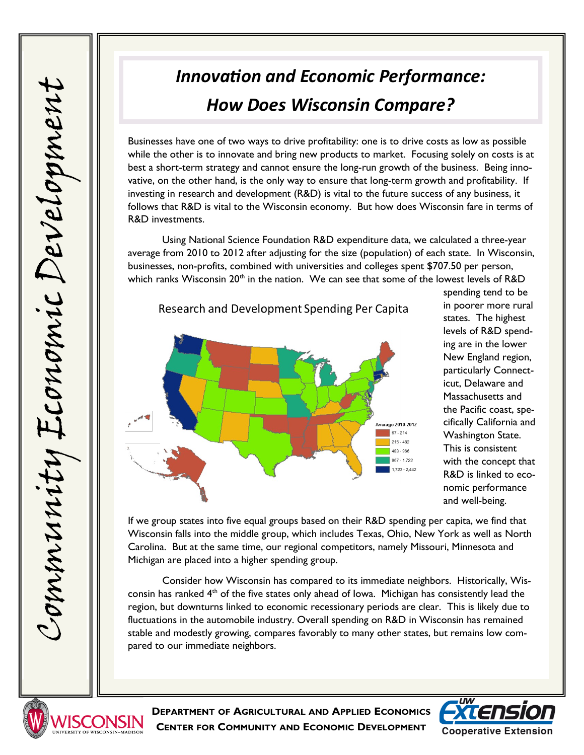## *Innovation and Economic Performance: How Does Wisconsin Compare?*

Businesses have one of two ways to drive profitability: one is to drive costs as low as possible while the other is to innovate and bring new products to market. Focusing solely on costs is at best a short-term strategy and cannot ensure the long-run growth of the business. Being innovative, on the other hand, is the only way to ensure that long-term growth and profitability. If investing in research and development (R&D) is vital to the future success of any business, it follows that R&D is vital to the Wisconsin economy. But how does Wisconsin fare in terms of R&D investments.

Using National Science Foundation R&D expenditure data, we calculated a three-year average from 2010 to 2012 after adjusting for the size (population) of each state. In Wisconsin, businesses, non-profits, combined with universities and colleges spent \$707.50 per person, which ranks Wisconsin  $20<sup>th</sup>$  in the nation. We can see that some of the lowest levels of R&D





spending tend to be in poorer more rural states. The highest levels of R&D spending are in the lower New England region, particularly Connecticut, Delaware and Massachusetts and the Pacific coast, specifically California and Washington State. This is consistent with the concept that R&D is linked to economic performance and well-being.

If we group states into five equal groups based on their R&D spending per capita, we find that Wisconsin falls into the middle group, which includes Texas, Ohio, New York as well as North Carolina. But at the same time, our regional competitors, namely Missouri, Minnesota and Michigan are placed into a higher spending group.

Consider how Wisconsin has compared to its immediate neighbors. Historically, Wisconsin has ranked  $4<sup>th</sup>$  of the five states only ahead of lowa. Michigan has consistently lead the region, but downturns linked to economic recessionary periods are clear. This is likely due to fluctuations in the automobile industry. Overall spending on R&D in Wisconsin has remained stable and modestly growing, compares favorably to many other states, but remains low compared to our immediate neighbors.



**DEPARTMENT OF AGRICULTURAL AND APPLIED ECONOMICS CENTER FOR COMMUNITY AND ECONOMIC DEVELOPMENT**